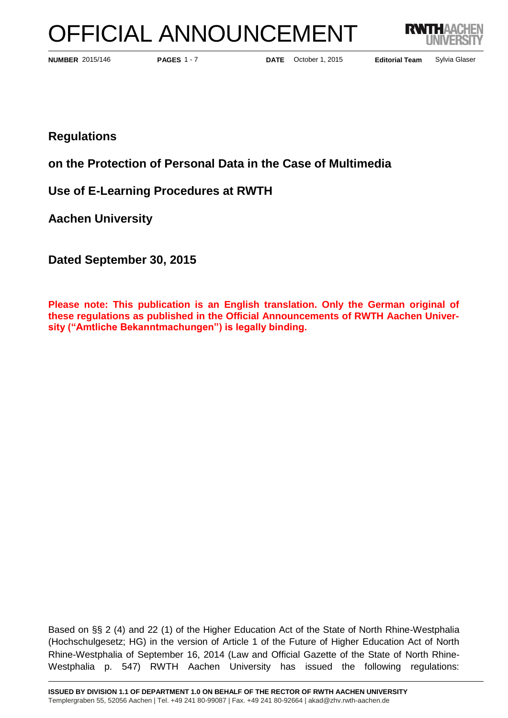# OFFICIAL ANNOUNCEMENT



**PAGES** 1 - 7

**NUMBER** 2015/146 **PAGES** 1 - 7 **DATE** October 1, 2015 **Editorial Team** Sylvia Glaser

**Regulations**

**on the Protection of Personal Data in the Case of Multimedia** 

**Use of E-Learning Procedures at RWTH** 

**Aachen University**

**Dated September 30, 2015**

**Please note: This publication is an English translation. Only the German original of these regulations as published in the Official Announcements of RWTH Aachen University ("Amtliche Bekanntmachungen") is legally binding.**

Based on §§ 2 (4) and 22 (1) of the Higher Education Act of the State of North Rhine-Westphalia (Hochschulgesetz; HG) in the version of Article 1 of the Future of Higher Education Act of North Rhine-Westphalia of September 16, 2014 (Law and Official Gazette of the State of North Rhine-Westphalia p. 547) RWTH Aachen University has issued the following regulations: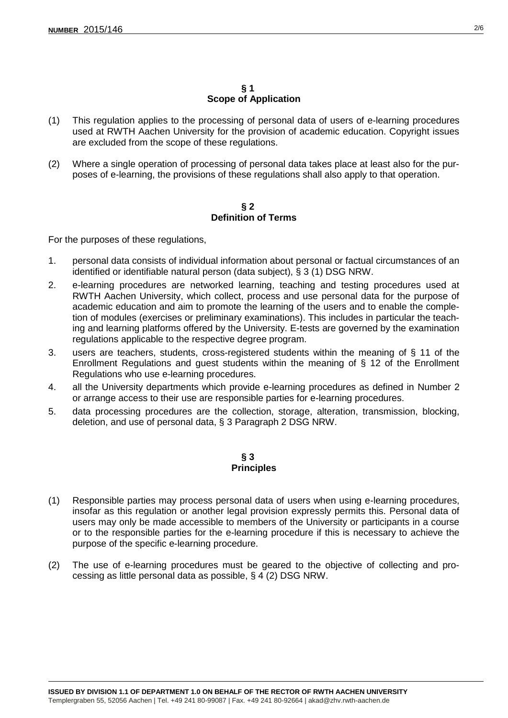#### **§ 1 Scope of Application**

- (1) This regulation applies to the processing of personal data of users of e-learning procedures used at RWTH Aachen University for the provision of academic education. Copyright issues are excluded from the scope of these regulations.
- (2) Where a single operation of processing of personal data takes place at least also for the purposes of e-learning, the provisions of these regulations shall also apply to that operation.

## **§ 2 Definition of Terms**

For the purposes of these regulations,

- 1. personal data consists of individual information about personal or factual circumstances of an identified or identifiable natural person (data subject), § 3 (1) DSG NRW.
- 2. e-learning procedures are networked learning, teaching and testing procedures used at RWTH Aachen University, which collect, process and use personal data for the purpose of academic education and aim to promote the learning of the users and to enable the completion of modules (exercises or preliminary examinations). This includes in particular the teaching and learning platforms offered by the University. E-tests are governed by the examination regulations applicable to the respective degree program.
- 3. users are teachers, students, cross-registered students within the meaning of § 11 of the Enrollment Regulations and guest students within the meaning of § 12 of the Enrollment Regulations who use e-learning procedures.
- 4. all the University departments which provide e-learning procedures as defined in Number 2 or arrange access to their use are responsible parties for e-learning procedures.
- 5. data processing procedures are the collection, storage, alteration, transmission, blocking, deletion, and use of personal data, § 3 Paragraph 2 DSG NRW.

#### **§ 3 Principles**

- (1) Responsible parties may process personal data of users when using e-learning procedures, insofar as this regulation or another legal provision expressly permits this. Personal data of users may only be made accessible to members of the University or participants in a course or to the responsible parties for the e-learning procedure if this is necessary to achieve the purpose of the specific e-learning procedure.
- (2) The use of e-learning procedures must be geared to the objective of collecting and processing as little personal data as possible, § 4 (2) DSG NRW.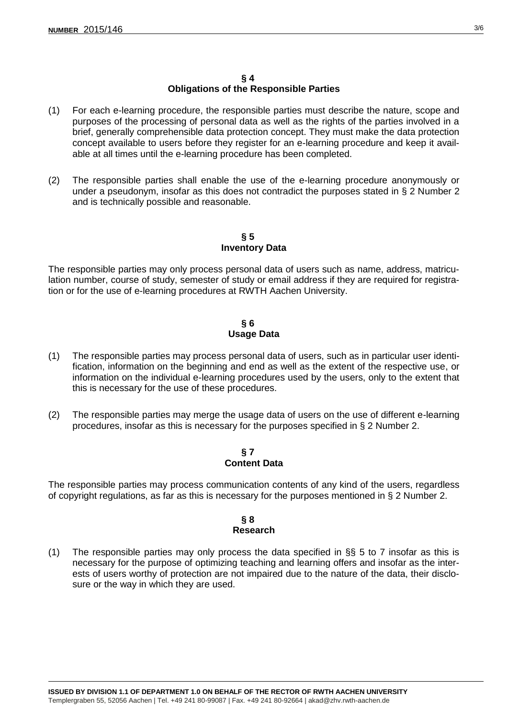## **§ 4 Obligations of the Responsible Parties**

- (1) For each e-learning procedure, the responsible parties must describe the nature, scope and purposes of the processing of personal data as well as the rights of the parties involved in a brief, generally comprehensible data protection concept. They must make the data protection concept available to users before they register for an e-learning procedure and keep it available at all times until the e-learning procedure has been completed.
- (2) The responsible parties shall enable the use of the e-learning procedure anonymously or under a pseudonym, insofar as this does not contradict the purposes stated in § 2 Number 2 and is technically possible and reasonable.

## **§ 5 Inventory Data**

The responsible parties may only process personal data of users such as name, address, matriculation number, course of study, semester of study or email address if they are required for registration or for the use of e-learning procedures at RWTH Aachen University.

# **§ 6 Usage Data**

- (1) The responsible parties may process personal data of users, such as in particular user identification, information on the beginning and end as well as the extent of the respective use, or information on the individual e-learning procedures used by the users, only to the extent that this is necessary for the use of these procedures.
- (2) The responsible parties may merge the usage data of users on the use of different e-learning procedures, insofar as this is necessary for the purposes specified in § 2 Number 2.

# **§ 7 Content Data**

The responsible parties may process communication contents of any kind of the users, regardless of copyright regulations, as far as this is necessary for the purposes mentioned in § 2 Number 2.

## **§ 8 Research**

(1) The responsible parties may only process the data specified in  $\S$ § 5 to 7 insofar as this is necessary for the purpose of optimizing teaching and learning offers and insofar as the interests of users worthy of protection are not impaired due to the nature of the data, their disclosure or the way in which they are used.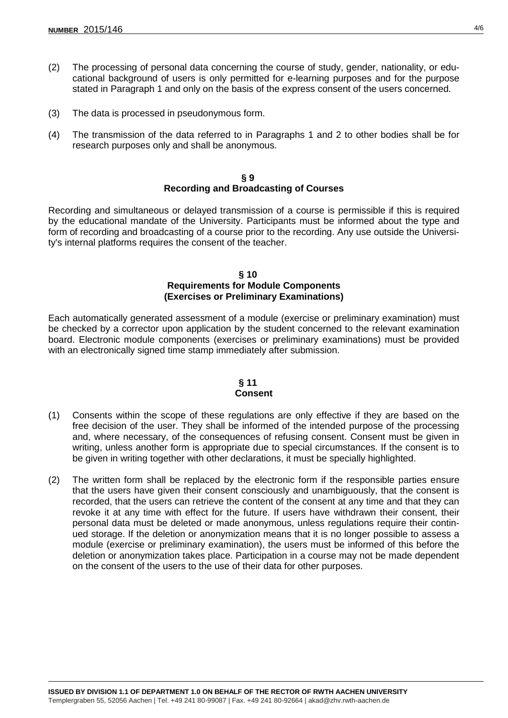- (2) The processing of personal data concerning the course of study, gender, nationality, or educational background of users is only permitted for e-learning purposes and for the purpose stated in Paragraph 1 and only on the basis of the express consent of the users concerned.
- (3) The data is processed in pseudonymous form.
- (4) The transmission of the data referred to in Paragraphs 1 and 2 to other bodies shall be for research purposes only and shall be anonymous.

#### **§ 9 Recording and Broadcasting of Courses**

Recording and simultaneous or delayed transmission of a course is permissible if this is required by the educational mandate of the University. Participants must be informed about the type and form of recording and broadcasting of a course prior to the recording. Any use outside the University's internal platforms requires the consent of the teacher.

#### **§ 10 Requirements for Module Components (Exercises or Preliminary Examinations)**

Each automatically generated assessment of a module (exercise or preliminary examination) must be checked by a corrector upon application by the student concerned to the relevant examination board. Electronic module components (exercises or preliminary examinations) must be provided with an electronically signed time stamp immediately after submission.

#### **§ 11 Consent**

- (1) Consents within the scope of these regulations are only effective if they are based on the free decision of the user. They shall be informed of the intended purpose of the processing and, where necessary, of the consequences of refusing consent. Consent must be given in writing, unless another form is appropriate due to special circumstances. If the consent is to be given in writing together with other declarations, it must be specially highlighted.
- (2) The written form shall be replaced by the electronic form if the responsible parties ensure that the users have given their consent consciously and unambiguously, that the consent is recorded, that the users can retrieve the content of the consent at any time and that they can revoke it at any time with effect for the future. If users have withdrawn their consent, their personal data must be deleted or made anonymous, unless regulations require their continued storage. If the deletion or anonymization means that it is no longer possible to assess a module (exercise or preliminary examination), the users must be informed of this before the deletion or anonymization takes place. Participation in a course may not be made dependent on the consent of the users to the use of their data for other purposes.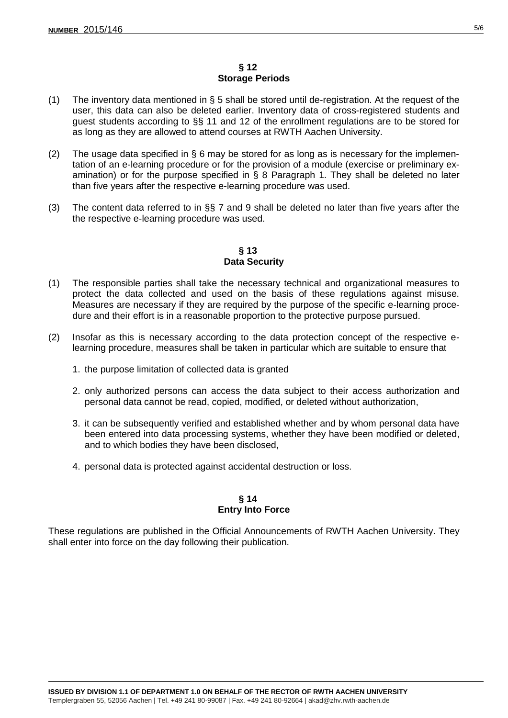## **§ 12 Storage Periods**

- (1) The inventory data mentioned in  $\S 5$  shall be stored until de-registration. At the request of the user, this data can also be deleted earlier. Inventory data of cross-registered students and guest students according to §§ 11 and 12 of the enrollment regulations are to be stored for as long as they are allowed to attend courses at RWTH Aachen University.
- (2) The usage data specified in  $\S$  6 may be stored for as long as is necessary for the implementation of an e-learning procedure or for the provision of a module (exercise or preliminary examination) or for the purpose specified in § 8 Paragraph 1. They shall be deleted no later than five years after the respective e-learning procedure was used.
- (3) The content data referred to in  $\S$  7 and 9 shall be deleted no later than five years after the the respective e-learning procedure was used.

## **§ 13 Data Security**

- (1) The responsible parties shall take the necessary technical and organizational measures to protect the data collected and used on the basis of these regulations against misuse. Measures are necessary if they are required by the purpose of the specific e-learning procedure and their effort is in a reasonable proportion to the protective purpose pursued.
- (2) Insofar as this is necessary according to the data protection concept of the respective elearning procedure, measures shall be taken in particular which are suitable to ensure that
	- 1. the purpose limitation of collected data is granted
	- 2. only authorized persons can access the data subject to their access authorization and personal data cannot be read, copied, modified, or deleted without authorization,
	- 3. it can be subsequently verified and established whether and by whom personal data have been entered into data processing systems, whether they have been modified or deleted, and to which bodies they have been disclosed,
	- 4. personal data is protected against accidental destruction or loss.

# **§ 14 Entry Into Force**

These regulations are published in the Official Announcements of RWTH Aachen University. They shall enter into force on the day following their publication.